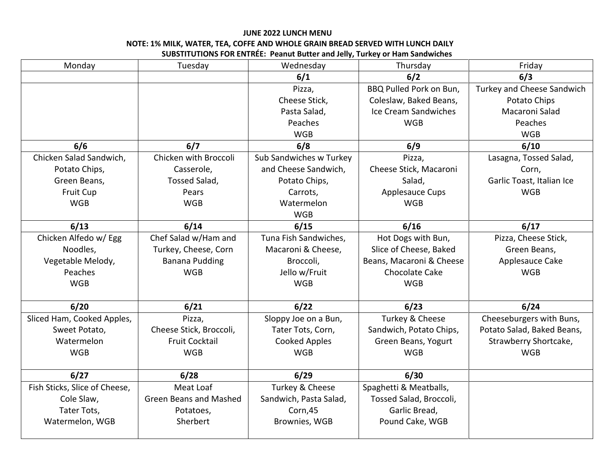## **JUNE 2022 LUNCH MENU NOTE: 1% MILK, WATER, TEA, COFFE AND WHOLE GRAIN BREAD SERVED WITH LUNCH DAILY SUBSTITUTIONS FOR ENTRÉE: Peanut Butter and Jelly, Turkey or Ham Sandwiches**

| Monday                        | Tuesday                       | Wednesday               | Thursday                 | Friday                     |
|-------------------------------|-------------------------------|-------------------------|--------------------------|----------------------------|
|                               |                               | 6/1                     | 6/2                      | 6/3                        |
|                               |                               | Pizza,                  | BBQ Pulled Pork on Bun,  | Turkey and Cheese Sandwich |
|                               |                               | Cheese Stick,           | Coleslaw, Baked Beans,   | Potato Chips               |
|                               |                               | Pasta Salad,            | Ice Cream Sandwiches     | Macaroni Salad             |
|                               |                               | Peaches                 | <b>WGB</b>               | Peaches                    |
|                               |                               | <b>WGB</b>              |                          | <b>WGB</b>                 |
| 6/6                           | 6/7                           | 6/8                     | 6/9                      | 6/10                       |
| Chicken Salad Sandwich,       | Chicken with Broccoli         | Sub Sandwiches w Turkey | Pizza,                   | Lasagna, Tossed Salad,     |
| Potato Chips,                 | Casserole,                    | and Cheese Sandwich,    | Cheese Stick, Macaroni   | Corn,                      |
| Green Beans,                  | Tossed Salad,                 | Potato Chips,           | Salad,                   | Garlic Toast, Italian Ice  |
| Fruit Cup                     | Pears                         | Carrots,                | <b>Applesauce Cups</b>   | <b>WGB</b>                 |
| <b>WGB</b>                    | <b>WGB</b>                    | Watermelon              | <b>WGB</b>               |                            |
|                               |                               | <b>WGB</b>              |                          |                            |
| 6/13                          | 6/14                          | 6/15                    | 6/16                     | 6/17                       |
| Chicken Alfedo w/ Egg         | Chef Salad w/Ham and          | Tuna Fish Sandwiches,   | Hot Dogs with Bun,       | Pizza, Cheese Stick,       |
| Noodles,                      | Turkey, Cheese, Corn          | Macaroni & Cheese,      | Slice of Cheese, Baked   | Green Beans,               |
| Vegetable Melody,             | <b>Banana Pudding</b>         | Broccoli,               | Beans, Macaroni & Cheese | Applesauce Cake            |
| Peaches                       | <b>WGB</b>                    | Jello w/Fruit           | <b>Chocolate Cake</b>    | <b>WGB</b>                 |
| <b>WGB</b>                    |                               | <b>WGB</b>              | <b>WGB</b>               |                            |
|                               |                               |                         |                          |                            |
| 6/20                          | 6/21                          | 6/22                    | 6/23                     | 6/24                       |
| Sliced Ham, Cooked Apples,    | Pizza,                        | Sloppy Joe on a Bun,    | Turkey & Cheese          | Cheeseburgers with Buns,   |
| Sweet Potato,                 | Cheese Stick, Broccoli,       | Tater Tots, Corn,       | Sandwich, Potato Chips,  | Potato Salad, Baked Beans, |
| Watermelon                    | <b>Fruit Cocktail</b>         | <b>Cooked Apples</b>    | Green Beans, Yogurt      | Strawberry Shortcake,      |
| <b>WGB</b>                    | <b>WGB</b>                    | <b>WGB</b>              | <b>WGB</b>               | <b>WGB</b>                 |
|                               |                               |                         |                          |                            |
| $6/27$                        | 6/28                          | 6/29                    | 6/30                     |                            |
| Fish Sticks, Slice of Cheese, | Meat Loaf                     | Turkey & Cheese         | Spaghetti & Meatballs,   |                            |
| Cole Slaw,                    | <b>Green Beans and Mashed</b> | Sandwich, Pasta Salad,  | Tossed Salad, Broccoli,  |                            |
| Tater Tots,                   | Potatoes,                     | Corn,45                 | Garlic Bread,            |                            |
| Watermelon, WGB               | Sherbert                      | Brownies, WGB           | Pound Cake, WGB          |                            |
|                               |                               |                         |                          |                            |